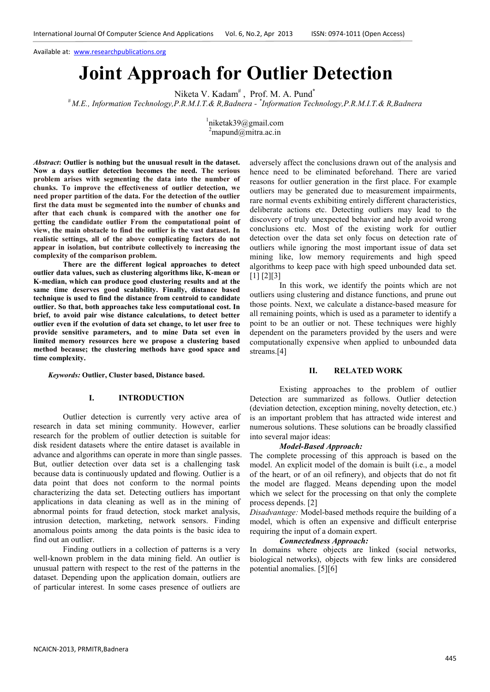Available at: www.researchpublications.org

# **Joint Approach for Outlier Detection**

Niketa V. Kadam<sup>#</sup>, Prof. M. A. Pund<sup>\*</sup>

*# M.E., Information Technology,P.R.M.I.T.& R,Badnera - \* Information Technology,P.R.M.I.T.& R,Badnera* 

1 niketak39@gmail.com  $^{2}$ mapund@mitra.ac.in

*Abstract***: Outlier is nothing but the unusual result in the dataset. Now a days outlier detection becomes the need. The serious problem arises with segmenting the data into the number of chunks. To improve the effectiveness of outlier detection, we need proper partition of the data. For the detection of the outlier first the data must be segmented into the number of chunks and after that each chunk is compared with the another one for getting the candidate outlier From the computational point of view, the main obstacle to find the outlier is the vast dataset. In realistic settings, all of the above complicating factors do not appear in isolation, but contribute collectively to increasing the complexity of the comparison problem.** 

**There are the different logical approaches to detect outlier data values, such as clustering algorithms like, K-mean or K-median, which can produce good clustering results and at the same time deserves good scalability. Finally, distance based technique is used to find the distance from centroid to candidate outlier. So that, both approaches take less computational cost. In brief, to avoid pair wise distance calculations, to detect better outlier even if the evolution of data set change, to let user free to provide sensitive parameters, and to mine Data set even in limited memory resources here we propose a clustering based method because; the clustering methods have good space and time complexity.** 

*Keywords:* **Outlier, Cluster based, Distance based.** 

### **I. INTRODUCTION**

Outlier detection is currently very active area of research in data set mining community. However, earlier research for the problem of outlier detection is suitable for disk resident datasets where the entire dataset is available in advance and algorithms can operate in more than single passes. But, outlier detection over data set is a challenging task because data is continuously updated and flowing. Outlier is a data point that does not conform to the normal points characterizing the data set. Detecting outliers has important applications in data cleaning as well as in the mining of abnormal points for fraud detection, stock market analysis, intrusion detection, marketing, network sensors. Finding anomalous points among the data points is the basic idea to find out an outlier.

Finding outliers in a collection of patterns is a very well-known problem in the data mining field. An outlier is unusual pattern with respect to the rest of the patterns in the dataset. Depending upon the application domain, outliers are of particular interest. In some cases presence of outliers are adversely affect the conclusions drawn out of the analysis and hence need to be eliminated beforehand. There are varied reasons for outlier generation in the first place. For example outliers may be generated due to measurement impairments, rare normal events exhibiting entirely different characteristics, deliberate actions etc. Detecting outliers may lead to the discovery of truly unexpected behavior and help avoid wrong conclusions etc. Most of the existing work for outlier detection over the data set only focus on detection rate of outliers while ignoring the most important issue of data set mining like, low memory requirements and high speed algorithms to keep pace with high speed unbounded data set. [1] [2][3]

 In this work, we identify the points which are not outliers using clustering and distance functions, and prune out those points. Next, we calculate a distance-based measure for all remaining points, which is used as a parameter to identify a point to be an outlier or not. These techniques were highly dependent on the parameters provided by the users and were computationally expensive when applied to unbounded data streams.[4]

### **II. RELATED WORK**

Existing approaches to the problem of outlier Detection are summarized as follows. Outlier detection (deviation detection, exception mining, novelty detection, etc.) is an important problem that has attracted wide interest and numerous solutions. These solutions can be broadly classified into several major ideas:

# *Model-Based Approach:*

The complete processing of this approach is based on the model. An explicit model of the domain is built (i.e., a model of the heart, or of an oil refinery), and objects that do not fit the model are flagged. Means depending upon the model which we select for the processing on that only the complete process depends. [2]

*Disadvantage:* Model-based methods require the building of a model, which is often an expensive and difficult enterprise requiring the input of a domain expert.

# *Connectedness Approach:*

In domains where objects are linked (social networks, biological networks), objects with few links are considered potential anomalies. [5][6]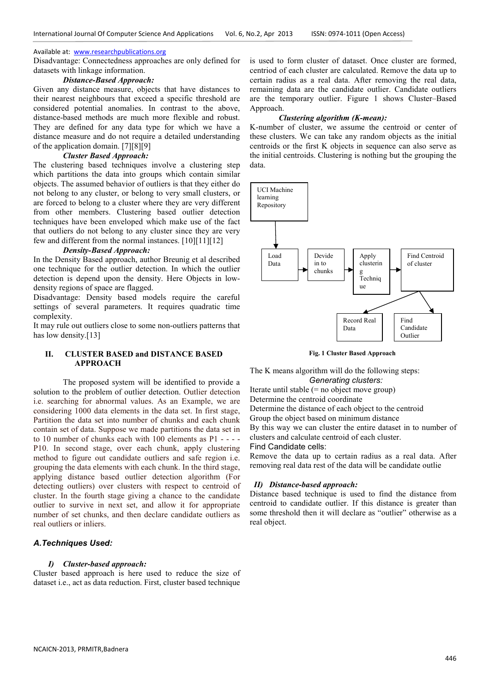# Available at: www.researchpublications.org

Disadvantage: Connectedness approaches are only defined for datasets with linkage information.

# *Distance-Based Approach:*

Given any distance measure, objects that have distances to their nearest neighbours that exceed a specific threshold are considered potential anomalies. In contrast to the above, distance-based methods are much more flexible and robust. They are defined for any data type for which we have a distance measure and do not require a detailed understanding of the application domain. [7][8][9]

### *Cluster Based Approach:*

The clustering based techniques involve a clustering step which partitions the data into groups which contain similar objects. The assumed behavior of outliers is that they either do not belong to any cluster, or belong to very small clusters, or are forced to belong to a cluster where they are very different from other members. Clustering based outlier detection techniques have been enveloped which make use of the fact that outliers do not belong to any cluster since they are very few and different from the normal instances. [10][11][12]

# *Density-Based Approach:*

In the Density Based approach, author Breunig et al described one technique for the outlier detection. In which the outlier detection is depend upon the density. Here Objects in lowdensity regions of space are flagged.

Disadvantage: Density based models require the careful settings of several parameters. It requires quadratic time complexity.

It may rule out outliers close to some non-outliers patterns that has low density.[13]

# **II. CLUSTER BASED and DISTANCE BASED APPROACH**

The proposed system will be identified to provide a solution to the problem of outlier detection. Outlier detection i.e. searching for abnormal values. As an Example, we are considering 1000 data elements in the data set. In first stage, Partition the data set into number of chunks and each chunk contain set of data. Suppose we made partitions the data set in to 10 number of chunks each with 100 elements as P1 - - - - P10. In second stage, over each chunk, apply clustering method to figure out candidate outliers and safe region i.e. grouping the data elements with each chunk. In the third stage, applying distance based outlier detection algorithm (For detecting outliers) over clusters with respect to centroid of cluster. In the fourth stage giving a chance to the candidate outlier to survive in next set, and allow it for appropriate number of set chunks, and then declare candidate outliers as real outliers or inliers.

# *A.Techniques Used:*

# *I) Cluster-based approach:*

Cluster based approach is here used to reduce the size of dataset i.e., act as data reduction. First, cluster based technique

is used to form cluster of dataset. Once cluster are formed centriod of each cluster are calculated. Remove the data up to certain radius as a real data. After removing the real data, remaining data are the candidate outlier. Candidate outliers are the temporary outlier. Figure 1 shows Cluster–Based Approach.

# *Clustering algorithm (K-mean):*

K-number of cluster, we assume the centroid or center of these clusters. We can take any random objects as the initial centroids or the first K objects in sequence can also serve as the initial centroids. Clustering is nothing but the grouping the data.



**Fig. 1 Cluster Based Approach**

The K means algorithm will do the following steps: *Generating clusters:* 

Iterate until stable (= no object move group) Determine the centroid coordinate

Determine the distance of each object to the centroid

Group the object based on minimum distance

By this way we can cluster the entire dataset in to number of clusters and calculate centroid of each cluster.

Find Candidate cells:

Remove the data up to certain radius as a real data. After removing real data rest of the data will be candidate outlie

# *II) Distance-based approach:*

Distance based technique is used to find the distance from centroid to candidate outlier. If this distance is greater than some threshold then it will declare as "outlier" otherwise as a real object.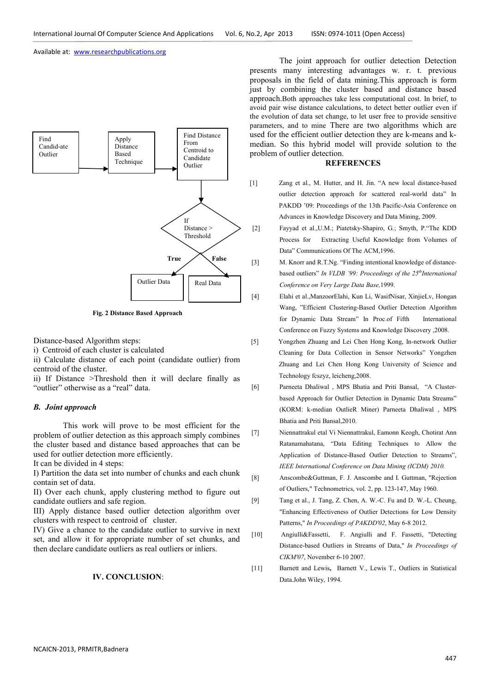Available at: www.researchpublications.org



**Fig. 2 Distance Based Approach** 

Distance-based Algorithm steps:

i) Centroid of each cluster is calculated

ii) Calculate distance of each point (candidate outlier) from centroid of the cluster.

ii) If Distance >Threshold then it will declare finally as "outlier" otherwise as a "real" data.

## *B. Joint approach*

This work will prove to be most efficient for the problem of outlier detection as this approach simply combines the cluster based and distance based approaches that can be used for outlier detection more efficiently.

It can be divided in 4 steps:

I) Partition the data set into number of chunks and each chunk contain set of data.

II) Over each chunk, apply clustering method to figure out candidate outliers and safe region.

III) Apply distance based outlier detection algorithm over clusters with respect to centroid of cluster.

IV) Give a chance to the candidate outlier to survive in next set, and allow it for appropriate number of set chunks, and then declare candidate outliers as real outliers or inliers.

# **IV. CONCLUSION**:

The joint approach for outlier detection Detection presents many interesting advantages w. r. t. previous proposals in the field of data mining.This approach is form just by combining the cluster based and distance based approach.Both approaches take less computational cost. In brief, to avoid pair wise distance calculations, to detect better outlier even if the evolution of data set change, to let user free to provide sensitive parameters, and to mine There are two algorithms which are used for the efficient outlier detection they are k-means and kmedian. So this hybrid model will provide solution to the problem of outlier detection.

# **REFERENCES**

- [1] Zang et al., M. Hutter, and H. Jin. "A new local distance-based outlier detection approach for scattered real-world data" In PAKDD '09: Proceedings of the 13th Pacific-Asia Conference on Advances in Knowledge Discovery and Data Mining, 2009.
- [2]Fayyad et al.,U.M.; Piatetsky-Shapiro, G.; Smyth, P."The KDD Process for Extracting Useful Knowledge from Volumes of Data" Communications Of The ACM,1996.
- [3] M. Knorr and R.T.Ng. "Finding intentional knowledge of distancebased outliers" *In VLDB '99: Proceedings of the 25thInternational Conference on Very Large Data Base,*1999.
- [4] Elahi et al.,ManzoorElahi, Kun Li, WasifNisar, XinjieLv, Hongan Wang, "Efficient Clustering-Based Outlier Detection Algorithm for Dynamic Data Stream" In Proc.of Fifth International Conference on Fuzzy Systems and Knowledge Discovery ,2008.
- [5] Yongzhen Zhuang and Lei Chen Hong Kong, In-network Outlier Cleaning for Data Collection in Sensor Networks" Yongzhen Zhuang and Lei Chen Hong Kong University of Science and Technology fcszyz, leicheng,2008.
- [6] Parneeta Dhaliwal , MPS Bhatia and Priti Bansal, "A Clusterbased Approach for Outlier Detection in Dynamic Data Streams" (KORM: k-median OutlieR Miner) Parneeta Dhaliwal , MPS Bhatia and Priti Bansal,2010.
- [7] Niennattrakul etal Vi Niennattrakul, Eamonn Keogh, Chotirat Ann Ratanamahatana, "Data Editing Techniques to Allow the Application of Distance-Based Outlier Detection to Streams", *IEEE International Conference on Data Mining (ICDM) 2010.*

[8] Anscombe&Guttman, F. J. Anscombe and I. Guttman, "Rejection of Outliers," Technometrics, vol. 2, pp. 123-147, May 1960.

- [9]Tang et al., J. Tang, Z. Chen, A. W.-C. Fu and D. W.-L. Cheung, "Enhancing Effectiveness of Outlier Detections for Low Density Patterns," *In Proceedings of PAKDD'02*, May 6-8 2012.
- [10]Angiulli&Fassetti,F. Angiulli and F. Fassetti, "Detecting Distance-based Outliers in Streams of Data," *In Proceedings of CIKM'07*, November 6-10 2007.
- [11] **Barnett and Lewis, Barnett V., Lewis T., Outliers in Statistical** Data.John Wiley, 1994.